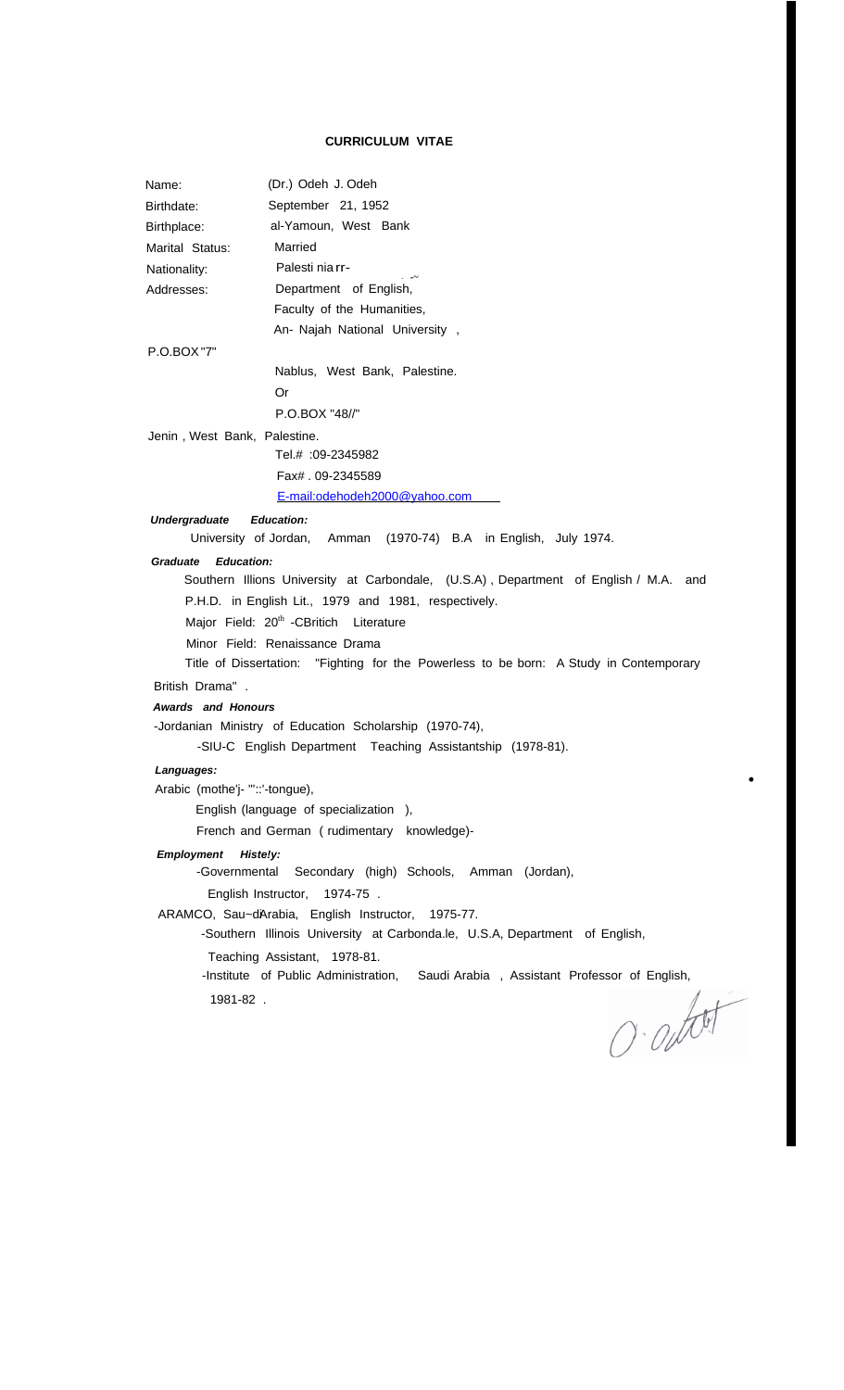# **CURRICULUM VITAE**

Name: Birthdate: Birthplace: Marital Status: Nationality: Addresses: (Dr.) Odeh J. Odeh September 21, 1952 al-Yamoun, West Bank Married Palesti nia rr- --<br>Department of English, Faculty of the Humanities, An- Najah National University , P.O.BOX "7" Nablus, West Bank, Palestine. Or P.O.BOX "48//" Jenin , West Bank, Palestine. Tel.# :09-2345982 Fax# . 09-2345589 [E-mail:odehodeh2000@yahoo.com](mailto:E-mail:odehodeh2000@yahoo.com) *Undergraduate Education:* University of Jordan, Amman (1970-74) B.A in English, July 1974. *Graduate Education:* Southern Illions University at Carbondale, (U.S.A) , Department of English / M.A. and P.H.D. in English Lit., 1979 and 1981, respectively. Major Field: 20<sup>th</sup> -CBritich Literature Minor Field: Renaissance Drama Title of Dissertation: "Fighting for the Powerless to be born: A Study in Contemporary British Drama" . *Awards and Honours* -Jordanian Ministry of Education Scholarship (1970-74), -SIU-C English Department Teaching Assistantship (1978-81). *Languages:* Arabic (mothe'j- "'::'-tongue), English (language of specialization ), French and German ( rudimentary knowledge)- *Employment Histe!y:* -Governmental Secondary (high) Schools, Amman (Jordan), English Instructor, 1974-75 . ARAMCO, Sau~d'Arabia, English Instructor, 1975-77. -Southern Illinois University at Carbonda.le, U.S.A, Department of English, Teaching Assistant, 1978-81. -Institute of Public Administration, Saudi Arabia , Assistant Professor of English, 1981-82 .

O adot

•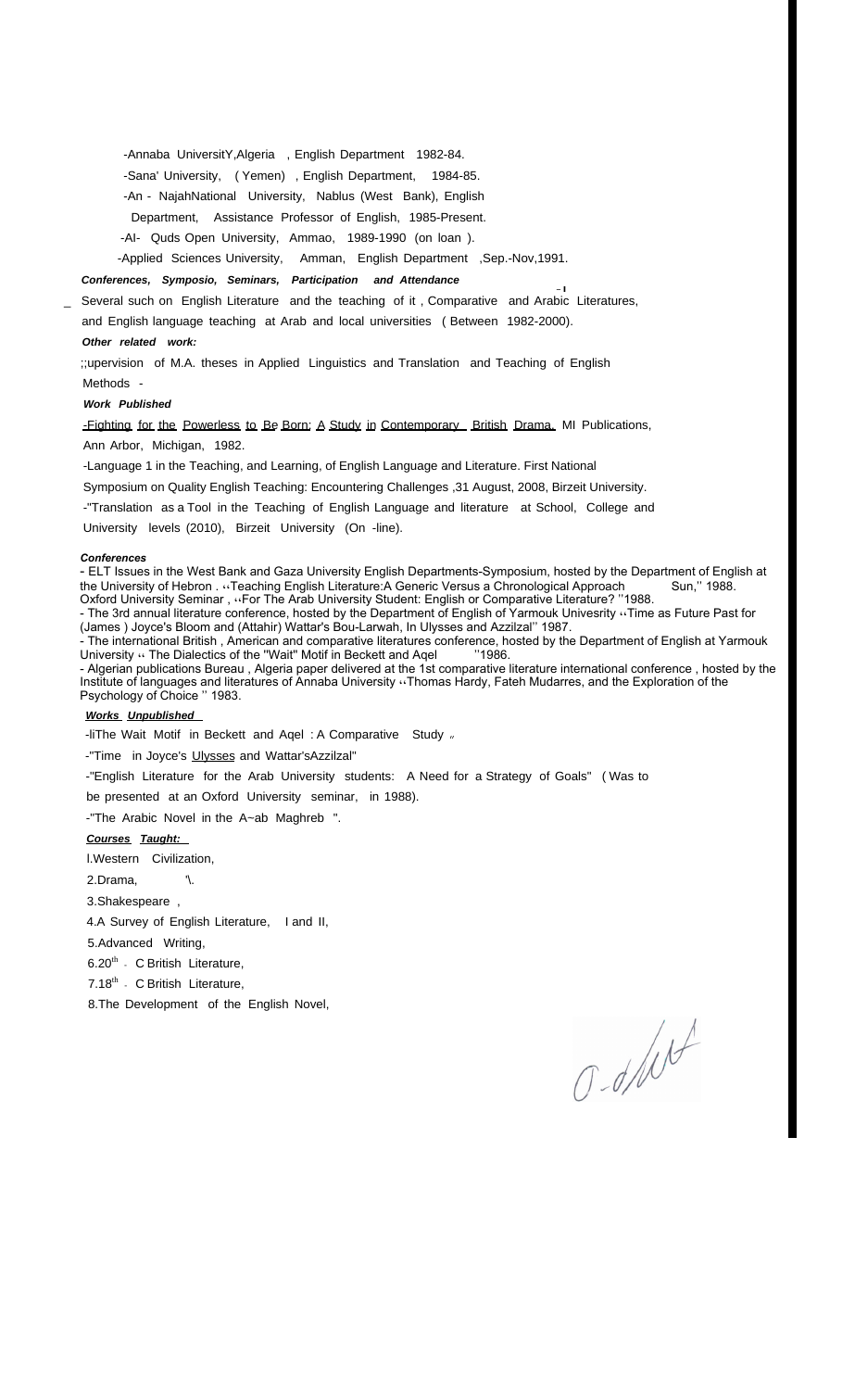-Annaba UniversitY,Algeria , English Department 1982-84.

-Sana' University, ( Yemen) , English Department, 1984-85.

-An - NajahNational University, Nablus (West Bank), English

Department, Assistance Professor of English, 1985-Present.

-AI- Quds Open University, Ammao, 1989-1990 (on loan ).

-Applied Sciences University, Amman, English Department ,Sep.-Nov,1991.

# *Conferences, Symposio, Seminars, Participation and Attendance*

-I \_ Several such on English Literature and the teaching of it , Comparative and Arabic Literatures, and English language teaching at Arab and local universities ( Between 1982-2000).

### *Other related work:*

;;upervision of M.A. theses in Applied Linguistics and Translation and Teaching of English

# Methods -

# *Work Published*

-Fighting for the Powerless to Be Born: A Study in Contemporary British Drama, MI Publications, Ann Arbor, Michigan, 1982.

-Language 1 in the Teaching, and Learning, of English Language and Literature. First National

Symposium on Quality English Teaching: Encountering Challenges ,31 August, 2008, Birzeit University.

-"Translation as a Tool in the Teaching of English Language and literature at School, College and

University levels (2010), Birzeit University (On -line).

#### *Conferences*

- ELT Issues in the West Bank and Gaza University English Departments-Symposium, hosted by the Department of English at the University of Hebron . "Teaching English Literature:A Generic Versus a Chronological Approach Sun," 1988. Oxford University Seminar , ،،For The Arab University Student: English or Comparative Literature? ''1988.

- The 3rd annual literature conference, hosted by the Department of English of Yarmouk Univesrity ،،Time as Future Past for (James ) Joyce's Bloom and (Attahir) Wattar's Bou-Larwah, In Ulysses and Azzilzal'' 1987.

- The international British , American and comparative literatures conference, hosted by the Department of English at Yarmouk University  $\cdot\cdot$  The Dialectics of the "Wait" Motif in Beckett and Aqel  $\cdot\cdot\cdot$ "1986.

- Algerian publications Bureau , Algeria paper delivered at the 1st comparative literature international conference , hosted by the Institute of languages and literatures of Annaba University ،،Thomas Hardy, Fateh Mudarres, and the Exploration of the Psychology of Choice '' 1983.

#### *Works Unpublished*

-liThe Wait Motif in Beckett and Aqel : A Comparative Study <sub>"</sub>

-"Time in Joyce's Ulysses and Wattar'sAzzilzal"

-"English Literature for the Arab University students: A Need for a Strategy of Goals" ( Was to

be presented at an Oxford University seminar, in 1988).

-"The Arabic Novel in the A~ab Maghreb ".

## *Courses Taught:*

l.Western Civilization,

2.Drama,

3.Shakespeare ,

4.A Survey of English Literature, I and II,

5.Advanced Writing,

 $6.20<sup>th</sup>$  - C British Literature,

7.18<sup>th</sup> C British Literature,

8.The Development of the English Novel,

 $0 - d / l$